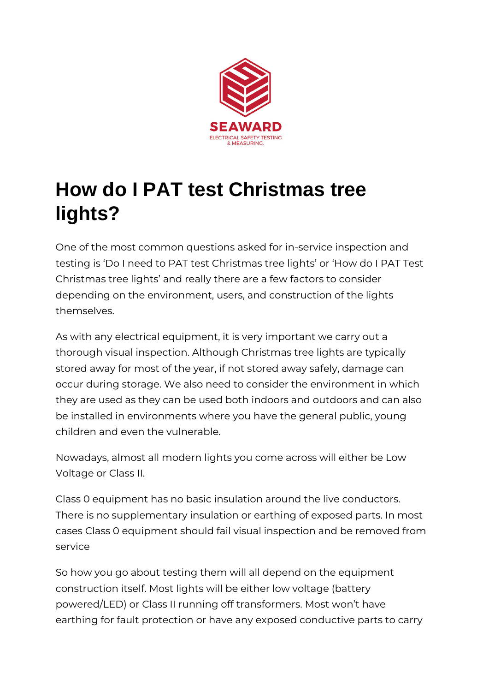

## **How do I PAT test Christmas tree lights?**

One of the most common questions asked for in-service inspection and testing is 'Do I need to PAT test Christmas tree lights' or 'How do I PAT Test Christmas tree lights' and really there are a few factors to consider depending on the environment, users, and construction of the lights themselves.

As with any electrical equipment, it is very important we carry out a thorough visual inspection. Although Christmas tree lights are typically stored away for most of the year, if not stored away safely, damage can occur during storage. We also need to consider the environment in which they are used as they can be used both indoors and outdoors and can also be installed in environments where you have the general public, young children and even the vulnerable.

Nowadays, almost all modern lights you come across will either be Low Voltage or Class II.

Class 0 equipment has no basic insulation around the live conductors. There is no supplementary insulation or earthing of exposed parts. In most cases Class 0 equipment should fail visual inspection and be removed from service

So how you go about testing them will all depend on the equipment construction itself. Most lights will be either low voltage (battery powered/LED) or Class II running off transformers. Most won't have earthing for fault protection or have any exposed conductive parts to carry